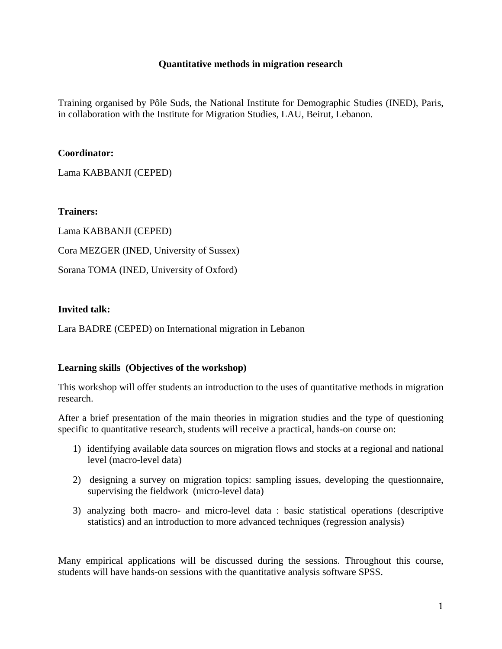## **Quantitative methods in migration research**

Training organised by Pôle Suds, the National Institute for Demographic Studies (INED), Paris, in collaboration with the Institute for Migration Studies, LAU, Beirut, Lebanon.

### **Coordinator:**

Lama KABBANJI (CEPED)

**Trainers:** 

Lama KABBANJI (CEPED) Cora MEZGER (INED, University of Sussex)

Sorana TOMA (INED, University of Oxford)

## **Invited talk:**

Lara BADRE (CEPED) on International migration in Lebanon

## **Learning skills (Objectives of the workshop)**

This workshop will offer students an introduction to the uses of quantitative methods in migration research.

After a brief presentation of the main theories in migration studies and the type of questioning specific to quantitative research, students will receive a practical, hands-on course on:

- 1) identifying available data sources on migration flows and stocks at a regional and national level (macro-level data)
- 2) designing a survey on migration topics: sampling issues, developing the questionnaire, supervising the fieldwork (micro-level data)
- 3) analyzing both macro- and micro-level data : basic statistical operations (descriptive statistics) and an introduction to more advanced techniques (regression analysis)

Many empirical applications will be discussed during the sessions. Throughout this course, students will have hands-on sessions with the quantitative analysis software SPSS.